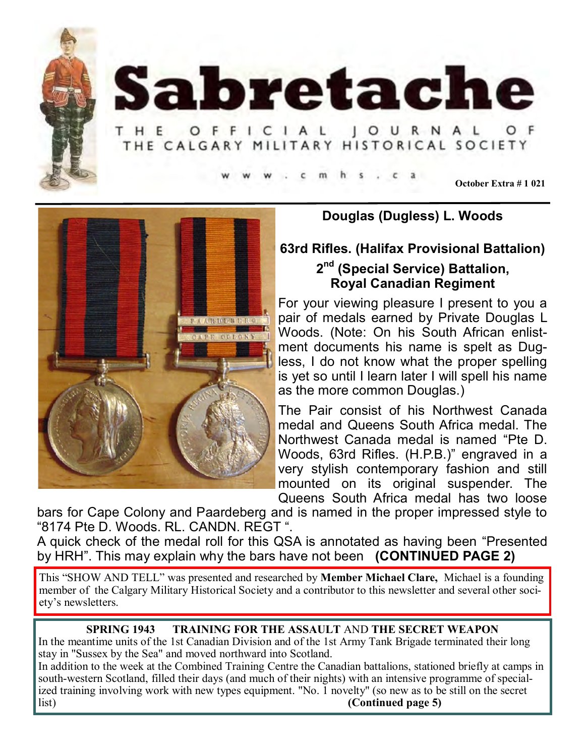



HE OFFICIAL JOURNAL THE CALGARY MILITARY HISTORICAL SOCIETY

**October Extra # 1 021**



## **Douglas (Dugless) L. Woods**

### **63rd Rifles. (Halifax Provisional Battalion)**

# **2 nd (Special Service) Battalion, Royal Canadian Regiment**

For your viewing pleasure I present to you a pair of medals earned by Private Douglas L Woods. (Note: On his South African enlistment documents his name is spelt as Dugless, I do not know what the proper spelling is yet so until I learn later I will spell his name as the more common Douglas.)

The Pair consist of his Northwest Canada medal and Queens South Africa medal. The Northwest Canada medal is named "Pte D. Woods, 63rd Rifles. (H.P.B.)" engraved in a very stylish contemporary fashion and still mounted on its original suspender. The Queens South Africa medal has two loose

bars for Cape Colony and Paardeberg and is named in the proper impressed style to "8174 Pte D. Woods. RL. CANDN. REGT ".

A quick check of the medal roll for this QSA is annotated as having been "Presented by HRH". This may explain why the bars have not been **(CONTINUED PAGE 2)**

This "SHOW AND TELL" was presented and researched by **Member Michael Clare,** Michael is a founding member of the Calgary Military Historical Society and a contributor to this newsletter and several other society's newsletters.

#### **SPRING 1943 TRAINING FOR THE ASSAULT** AND **THE SECRET WEAPON**

In the meantime units of the 1st Canadian Division and of the 1st Army Tank Brigade terminated their long stay in "Sussex by the Sea" and moved northward into Scotland.

In addition to the week at the Combined Training Centre the Canadian battalions, stationed briefly at camps in south-western Scotland, filled their days (and much of their nights) with an intensive programme of specialized training involving work with new types equipment. "No. 1 novelty" (so new as to be still on the secret list) **(Continued page 5)**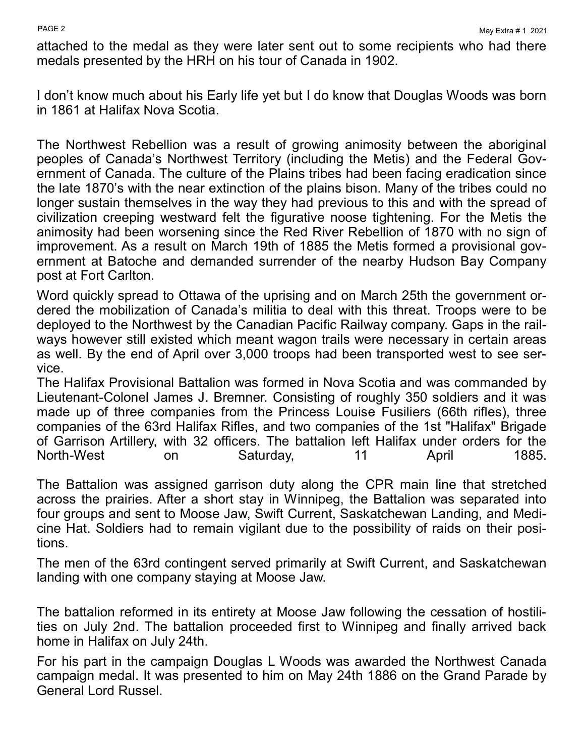attached to the medal as they were later sent out to some recipients who had there medals presented by the HRH on his tour of Canada in 1902.

I don't know much about his Early life yet but I do know that Douglas Woods was born in 1861 at Halifax Nova Scotia.

The Northwest Rebellion was a result of growing animosity between the aboriginal peoples of Canada's Northwest Territory (including the Metis) and the Federal Government of Canada. The culture of the Plains tribes had been facing eradication since the late 1870's with the near extinction of the plains bison. Many of the tribes could no longer sustain themselves in the way they had previous to this and with the spread of civilization creeping westward felt the figurative noose tightening. For the Metis the animosity had been worsening since the Red River Rebellion of 1870 with no sign of improvement. As a result on March 19th of 1885 the Metis formed a provisional government at Batoche and demanded surrender of the nearby Hudson Bay Company post at Fort Carlton.

Word quickly spread to Ottawa of the uprising and on March 25th the government ordered the mobilization of Canada's militia to deal with this threat. Troops were to be deployed to the Northwest by the Canadian Pacific Railway company. Gaps in the railways however still existed which meant wagon trails were necessary in certain areas as well. By the end of April over 3,000 troops had been transported west to see service.

The Halifax Provisional Battalion was formed in Nova Scotia and was commanded by Lieutenant-Colonel James J. Bremner. Consisting of roughly 350 soldiers and it was made up of three companies from the Princess Louise Fusiliers (66th rifles), three companies of the 63rd Halifax Rifles, and two companies of the 1st "Halifax" Brigade of Garrison Artillery, with 32 officers. The battalion left Halifax under orders for the North-West on Saturday, 11 April 1885.

The Battalion was assigned garrison duty along the CPR main line that stretched across the prairies. After a short stay in Winnipeg, the Battalion was separated into four groups and sent to Moose Jaw, Swift Current, Saskatchewan Landing, and Medicine Hat. Soldiers had to remain vigilant due to the possibility of raids on their positions.

The men of the 63rd contingent served primarily at Swift Current, and Saskatchewan landing with one company staying at Moose Jaw.

The battalion reformed in its entirety at Moose Jaw following the cessation of hostilities on July 2nd. The battalion proceeded first to Winnipeg and finally arrived back home in Halifax on July 24th.

For his part in the campaign Douglas L Woods was awarded the Northwest Canada campaign medal. It was presented to him on May 24th 1886 on the Grand Parade by General Lord Russel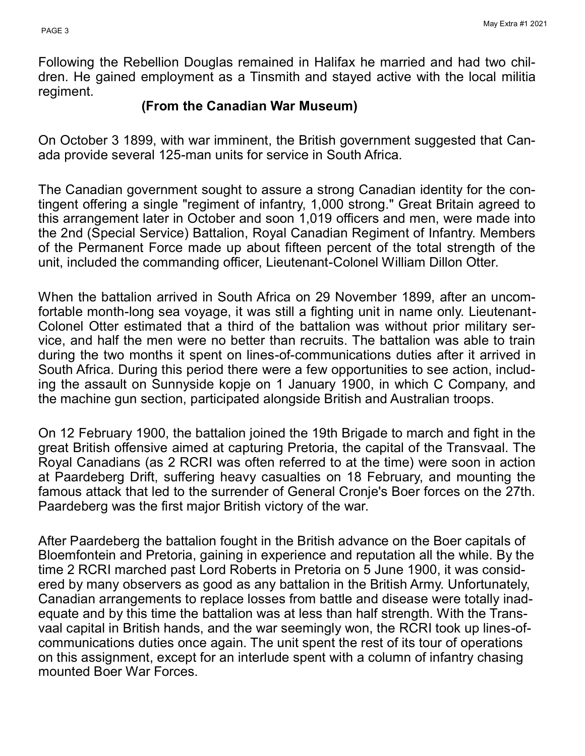Following the Rebellion Douglas remained in Halifax he married and had two children. He gained employment as a Tinsmith and stayed active with the local militia regiment.

## **(From the Canadian War Museum)**

On October 3 1899, with war imminent, the British government suggested that Canada provide several 125-man units for service in South Africa.

The Canadian government sought to assure a strong Canadian identity for the contingent offering a single "regiment of infantry, 1,000 strong." Great Britain agreed to this arrangement later in October and soon 1,019 officers and men, were made into the 2nd (Special Service) Battalion, Royal Canadian Regiment of Infantry. Members of the Permanent Force made up about fifteen percent of the total strength of the unit, included the commanding officer, Lieutenant-Colonel William Dillon Otter.

When the battalion arrived in South Africa on 29 November 1899, after an uncomfortable month-long sea voyage, it was still a fighting unit in name only. Lieutenant-Colonel Otter estimated that a third of the battalion was without prior military service, and half the men were no better than recruits. The battalion was able to train during the two months it spent on lines-of-communications duties after it arrived in South Africa. During this period there were a few opportunities to see action, including the assault on Sunnyside kopje on 1 January 1900, in which C Company, and the machine gun section, participated alongside British and Australian troops.

On 12 February 1900, the battalion joined the 19th Brigade to march and fight in the great British offensive aimed at capturing Pretoria, the capital of the Transvaal. The Royal Canadians (as 2 RCRI was often referred to at the time) were soon in action at Paardeberg Drift, suffering heavy casualties on 18 February, and mounting the famous attack that led to the surrender of General Cronje's Boer forces on the 27th. Paardeberg was the first major British victory of the war.

After Paardeberg the battalion fought in the British advance on the Boer capitals of Bloemfontein and Pretoria, gaining in experience and reputation all the while. By the time 2 RCRI marched past Lord Roberts in Pretoria on 5 June 1900, it was considered by many observers as good as any battalion in the British Army. Unfortunately, Canadian arrangements to replace losses from battle and disease were totally inadequate and by this time the battalion was at less than half strength. With the Transvaal capital in British hands, and the war seemingly won, the RCRI took up lines-ofcommunications duties once again. The unit spent the rest of its tour of operations on this assignment, except for an interlude spent with a column of infantry chasing mounted Boer War Forces.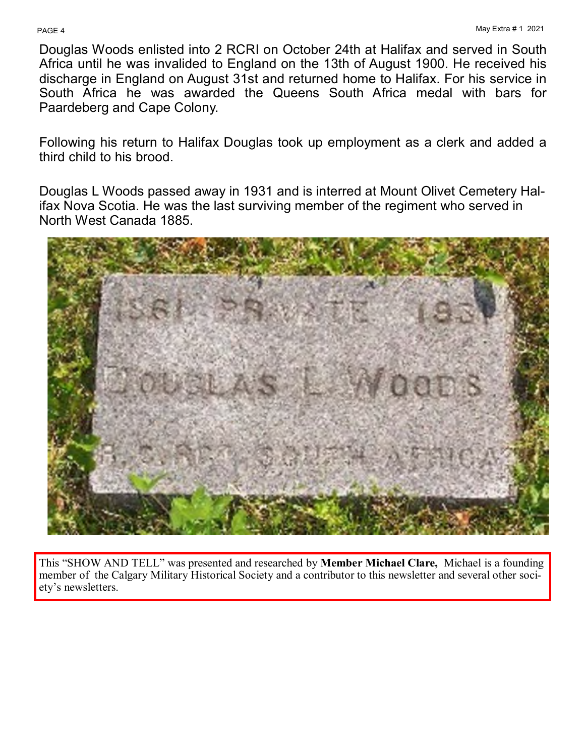Douglas Woods enlisted into 2 RCRI on October 24th at Halifax and served in South Africa until he was invalided to England on the 13th of August 1900. He received his discharge in England on August 31st and returned home to Halifax. For his service in South Africa he was awarded the Queens South Africa medal with bars for Paardeberg and Cape Colony.

Following his return to Halifax Douglas took up employment as a clerk and added a third child to his brood.

Douglas L Woods passed away in 1931 and is interred at Mount Olivet Cemetery Halifax Nova Scotia. He was the last surviving member of the regiment who served in North West Canada 1885.



This "SHOW AND TELL" was presented and researched by **Member Michael Clare,** Michael is a founding member of the Calgary Military Historical Society and a contributor to this newsletter and several other society's newsletters.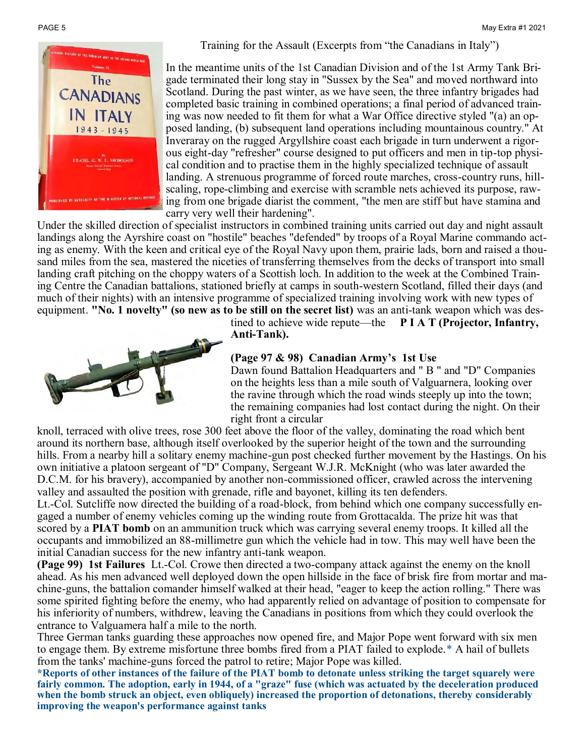



In the meantime units of the 1st Canadian Division and of the 1st Army Tank Brigade terminated their long stay in "Sussex by the Sea" and moved northward into Scotland. During the past winter, as we have seen, the three infantry brigades had completed basic training in combined operations; a final period of advanced training was now needed to fit them for what a War Office directive styled "(a) an opposed landing, (b) subsequent land operations including mountainous country." At Inveraray on the rugged Argyllshire coast each brigade in turn underwent a rigorous eight-day "refresher" course designed to put officers and men in tip-top physical condition and to practise them in the highly specialized technique of assault landing. A strenuous programme of forced route marches, cross-country runs, hillscaling, rope-climbing and exercise with scramble nets achieved its purpose, rawing from one brigade diarist the comment, "the men are stiff but have stamina and carry very well their hardening".

Under the skilled direction of specialist instructors in combined training units carried out day and night assault landings along the Ayrshire coast on "hostile" beaches "defended" by troops of a Royal Marine commando acting as enemy. With the keen and critical eye of the Royal Navy upon them, prairie lads, born and raised a thousand miles from the sea, mastered the niceties of transferring themselves from the decks of transport into small landing craft pitching on the choppy waters of a Scottish loch. In addition to the week at the Combined Training Centre the Canadian battalions, stationed briefly at camps in south-western Scotland, filled their days (and much of their nights) with an intensive programme of specialized training involving work with new types of equipment. **"No. 1 novelty" (so new as to be still on the secret list)** was an anti-tank weapon which was des-



tined to achieve wide repute—the **P I A T (Projector, Infantry, Anti-Tank).** 

#### **(Page 97 & 98) Canadian Army's 1st Use**

Dawn found Battalion Headquarters and " B " and "D" Companies on the heights less than a mile south of Valguarnera, looking over the ravine through which the road winds steeply up into the town; the remaining companies had lost contact during the night. On their right front a circular

knoll, terraced with olive trees, rose 300 feet above the floor of the valley, dominating the road which bent around its northern base, although itself overlooked by the superior height of the town and the surrounding hills. From a nearby hill a solitary enemy machine-gun post checked further movement by the Hastings. On his own initiative a platoon sergeant of "D" Company, Sergeant W.J.R. McKnight (who was later awarded the D.C.M. for his bravery), accompanied by another non-commissioned officer, crawled across the intervening valley and assaulted the position with grenade, rifle and bayonet, killing its ten defenders.

Lt.-Col. Sutcliffe now directed the building of a road-block, from behind which one company successfully engaged a number of enemy vehicles coming up the winding route from Grottacalda. The prize hit was that scored by a **PIAT bomb** on an ammunition truck which was carrying several enemy troops. It killed all the occupants and immobilized an 88-millimetre gun which the vehicle had in tow. This may well have been the initial Canadian success for the new infantry anti-tank weapon.

**(Page 99) 1st Failures** Lt.-Col. Crowe then directed a two-company attack against the enemy on the knoll ahead. As his men advanced well deployed down the open hillside in the face of brisk fire from mortar and machine-guns, the battalion comander himself walked at their head, "eager to keep the action rolling." There was some spirited fighting before the enemy, who had apparently relied on advantage of position to compensate for his inferiority of numbers, withdrew, leaving the Canadians in positions from which they could overlook the entrance to Valguamera half a mile to the north.

Three German tanks guarding these approaches now opened fire, and Major Pope went forward with six men to engage them. By extreme misfortune three bombs fired from a PIAT failed to explode.\* A hail of bullets from the tanks' machine-guns forced the patrol to retire; Major Pope was killed.

**\*Reports of other instances of the failure of the PIAT bomb to detonate unless striking the target squarely were fairly common. The adoption, early in 1944, of a "graze" fuse (which was actuated by the deceleration produced when the bomb struck an object, even obliquely) increased the proportion of detonations, thereby considerably improving the weapon's performance against tanks**